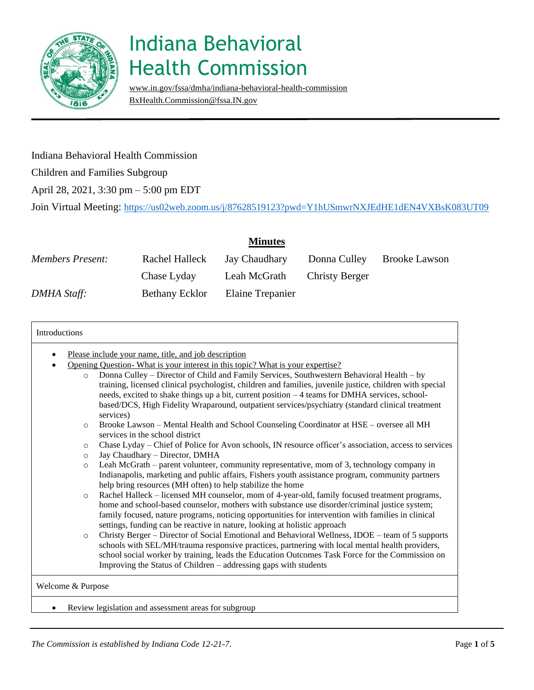

[www.in.gov/fssa/dmha/indiana-behavioral-health-commission](http://www.in.gov/fssa/dmha/indiana-behavioral-health-commission) [BxHealth.Commission@fssa.IN.gov](mailto:BxHealth.Commission@fssa.IN.gov)

#### Indiana Behavioral Health Commission

Children and Families Subgroup

April 28, 2021, 3:30 pm – 5:00 pm EDT

Join Virtual Meeting: <https://us02web.zoom.us/j/87628519123?pwd=Y1hUSmwrNXJEdHE1dEN4VXBsK083UT09>

|                         |                | <b>Minutes</b>       |                       |                      |
|-------------------------|----------------|----------------------|-----------------------|----------------------|
| <b>Members Present:</b> | Rachel Halleck | <b>Jay Chaudhary</b> | Donna Culley          | <b>Brooke Lawson</b> |
|                         | Chase Lyday    | Leah McGrath         | <b>Christy Berger</b> |                      |
| DMHA Staff:             | Bethany Ecklor | Elaine Trepanier     |                       |                      |

| ٠       | Please include your name, title, and job description                                                                       |
|---------|----------------------------------------------------------------------------------------------------------------------------|
|         | Opening Question-What is your interest in this topic? What is your expertise?                                              |
| $\circ$ | Donna Culley – Director of Child and Family Services, Southwestern Behavioral Health – by                                  |
|         | training, licensed clinical psychologist, children and families, juvenile justice, children with special                   |
|         | needs, excited to shake things up a bit, current position $-4$ teams for DMHA services, school-                            |
|         | based/DCS, High Fidelity Wraparound, outpatient services/psychiatry (standard clinical treatment                           |
|         | services)                                                                                                                  |
| $\circ$ | Brooke Lawson - Mental Health and School Counseling Coordinator at HSE - oversee all MH<br>services in the school district |
| $\circ$ | Chase Lyday – Chief of Police for Avon schools, IN resource officer's association, access to services                      |
| $\circ$ | Jay Chaudhary - Director, DMHA                                                                                             |
| $\circ$ | Leah McGrath – parent volunteer, community representative, mom of 3, technology company in                                 |
|         | Indianapolis, marketing and public affairs, Fishers youth assistance program, community partners                           |
|         | help bring resources (MH often) to help stabilize the home                                                                 |
| $\circ$ | Rachel Halleck – licensed MH counselor, mom of 4-year-old, family focused treatment programs,                              |
|         | home and school-based counselor, mothers with substance use disorder/criminal justice system;                              |
|         | family focused, nature programs, noticing opportunities for intervention with families in clinical                         |
|         | settings, funding can be reactive in nature, looking at holistic approach                                                  |
| $\circ$ | Christy Berger – Director of Social Emotional and Behavioral Wellness, IDOE – team of 5 supports                           |
|         | schools with SEL/MH/trauma responsive practices, partnering with local mental health providers,                            |
|         | school social worker by training, leads the Education Outcomes Task Force for the Commission on                            |
|         | Improving the Status of Children – addressing gaps with students                                                           |
|         |                                                                                                                            |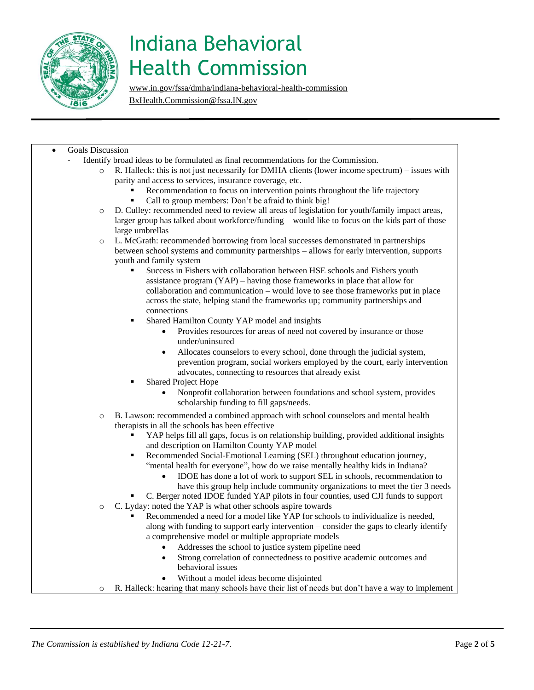

[www.in.gov/fssa/dmha/indiana-behavioral-health-commission](http://www.in.gov/fssa/dmha/indiana-behavioral-health-commission)

[BxHealth.Commission@fssa.IN.gov](mailto:BxHealth.Commission@fssa.IN.gov)

#### Goals Discussion

- Identify broad ideas to be formulated as final recommendations for the Commission.
	- o R. Halleck: this is not just necessarily for DMHA clients (lower income spectrum) issues with parity and access to services, insurance coverage, etc.
		- Recommendation to focus on intervention points throughout the life trajectory
			- Call to group members: Don't be afraid to think big!
	- o D. Culley: recommended need to review all areas of legislation for youth/family impact areas, larger group has talked about workforce/funding – would like to focus on the kids part of those large umbrellas
	- o L. McGrath: recommended borrowing from local successes demonstrated in partnerships between school systems and community partnerships – allows for early intervention, supports youth and family system
		- Success in Fishers with collaboration between HSE schools and Fishers youth assistance program (YAP) – having those frameworks in place that allow for collaboration and communication – would love to see those frameworks put in place across the state, helping stand the frameworks up; community partnerships and connections
		- Shared Hamilton County YAP model and insights
			- Provides resources for areas of need not covered by insurance or those under/uninsured
			- Allocates counselors to every school, done through the judicial system, prevention program, social workers employed by the court, early intervention advocates, connecting to resources that already exist
		- **Shared Project Hope** 
			- Nonprofit collaboration between foundations and school system, provides scholarship funding to fill gaps/needs.
	- o B. Lawson: recommended a combined approach with school counselors and mental health therapists in all the schools has been effective
		- YAP helps fill all gaps, focus is on relationship building, provided additional insights and description on Hamilton County YAP model
		- Recommended Social-Emotional Learning (SEL) throughout education journey, "mental health for everyone", how do we raise mentally healthy kids in Indiana?
			- IDOE has done a lot of work to support SEL in schools, recommendation to have this group help include community organizations to meet the tier 3 needs
		- C. Berger noted IDOE funded YAP pilots in four counties, used CJI funds to support
	- o C. Lyday: noted the YAP is what other schools aspire towards
		- Recommended a need for a model like YAP for schools to individualize is needed, along with funding to support early intervention – consider the gaps to clearly identify a comprehensive model or multiple appropriate models
			- Addresses the school to justice system pipeline need
			- Strong correlation of connectedness to positive academic outcomes and behavioral issues
				- Without a model ideas become disjointed
	- o R. Halleck: hearing that many schools have their list of needs but don't have a way to implement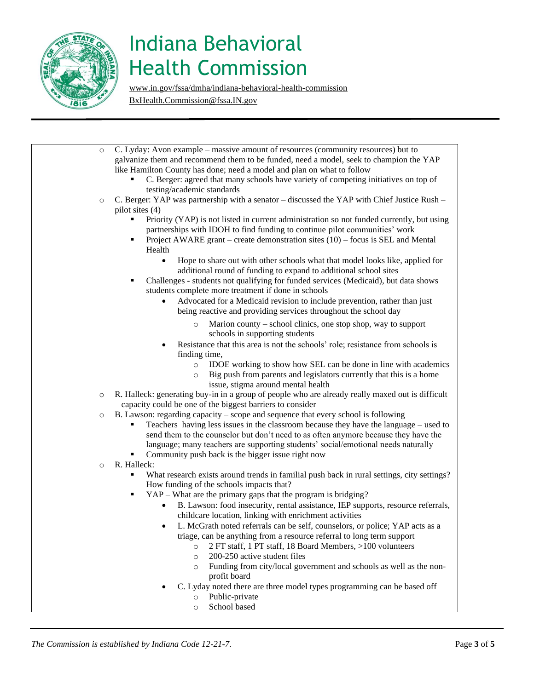

[www.in.gov/fssa/dmha/indiana-behavioral-health-commission](http://www.in.gov/fssa/dmha/indiana-behavioral-health-commission) [BxHealth.Commission@fssa.IN.gov](mailto:BxHealth.Commission@fssa.IN.gov)

 $\circ$  C. Lyday: Avon example – massive amount of resources (community resources) but to galvanize them and recommend them to be funded, need a model, seek to champion the YAP like Hamilton County has done; need a model and plan on what to follow C. Berger: agreed that many schools have variety of competing initiatives on top of testing/academic standards o C. Berger: YAP was partnership with a senator – discussed the YAP with Chief Justice Rush – pilot sites (4) Priority (YAP) is not listed in current administration so not funded currently, but using partnerships with IDOH to find funding to continue pilot communities' work Project AWARE grant – create demonstration sites  $(10)$  – focus is SEL and Mental Health • Hope to share out with other schools what that model looks like, applied for additional round of funding to expand to additional school sites ▪ Challenges - students not qualifying for funded services (Medicaid), but data shows students complete more treatment if done in schools • Advocated for a Medicaid revision to include prevention, rather than just being reactive and providing services throughout the school day o Marion county – school clinics, one stop shop, way to support schools in supporting students Resistance that this area is not the schools' role; resistance from schools is finding time, o IDOE working to show how SEL can be done in line with academics o Big push from parents and legislators currently that this is a home issue, stigma around mental health o R. Halleck: generating buy-in in a group of people who are already really maxed out is difficult – capacity could be one of the biggest barriers to consider o B. Lawson: regarding capacity – scope and sequence that every school is following Teachers having less issues in the classroom because they have the language – used to send them to the counselor but don't need to as often anymore because they have the language; many teachers are supporting students' social/emotional needs naturally Community push back is the bigger issue right now o R. Halleck: What research exists around trends in familial push back in rural settings, city settings? How funding of the schools impacts that? YAP – What are the primary gaps that the program is bridging? • B. Lawson: food insecurity, rental assistance, IEP supports, resource referrals, childcare location, linking with enrichment activities L. McGrath noted referrals can be self, counselors, or police; YAP acts as a triage, can be anything from a resource referral to long term support o 2 FT staff, 1 PT staff, 18 Board Members, >100 volunteers 200-250 active student files o Funding from city/local government and schools as well as the nonprofit board • C. Lyday noted there are three model types programming can be based off o Public-private o School based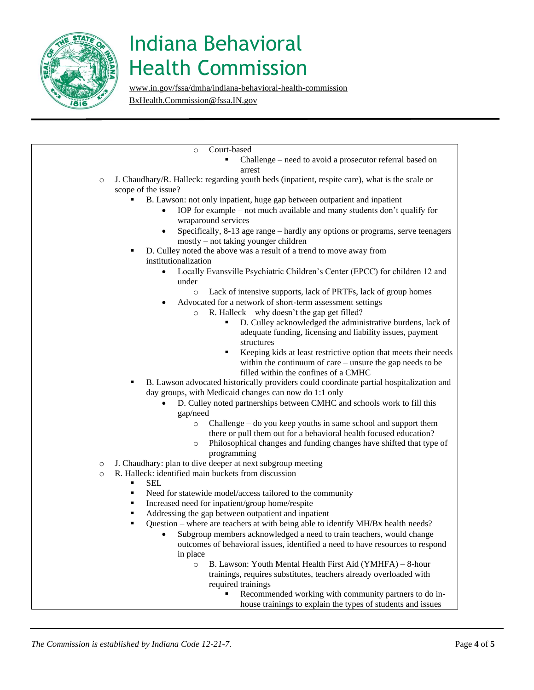

[www.in.gov/fssa/dmha/indiana-behavioral-health-commission](http://www.in.gov/fssa/dmha/indiana-behavioral-health-commission)

[BxHealth.Commission@fssa.IN.gov](mailto:BxHealth.Commission@fssa.IN.gov)

o Court-based

- Challenge need to avoid a prosecutor referral based on arrest
- o J. Chaudhary/R. Halleck: regarding youth beds (inpatient, respite care), what is the scale or scope of the issue?
	- B. Lawson: not only inpatient, huge gap between outpatient and inpatient
		- IOP for example not much available and many students don't qualify for wraparound services
		- Specifically, 8-13 age range hardly any options or programs, serve teenagers mostly – not taking younger children
	- D. Culley noted the above was a result of a trend to move away from institutionalization
		- Locally Evansville Psychiatric Children's Center (EPCC) for children 12 and under
			- o Lack of intensive supports, lack of PRTFs, lack of group homes
		- Advocated for a network of short-term assessment settings
			- $\circ$  R. Halleck why doesn't the gap get filled?
				- D. Culley acknowledged the administrative burdens, lack of adequate funding, licensing and liability issues, payment structures
				- Keeping kids at least restrictive option that meets their needs within the continuum of care – unsure the gap needs to be filled within the confines of a CMHC
	- B. Lawson advocated historically providers could coordinate partial hospitalization and day groups, with Medicaid changes can now do 1:1 only
		- D. Culley noted partnerships between CMHC and schools work to fill this gap/need
			- o Challenge do you keep youths in same school and support them there or pull them out for a behavioral health focused education?
			- o Philosophical changes and funding changes have shifted that type of programming
- o J. Chaudhary: plan to dive deeper at next subgroup meeting
- o R. Halleck: identified main buckets from discussion
	- SEL.
		- Need for statewide model/access tailored to the community
	- Increased need for inpatient/group home/respite
	- Addressing the gap between outpatient and inpatient
	- Question where are teachers at with being able to identify MH/Bx health needs?
		- Subgroup members acknowledged a need to train teachers, would change outcomes of behavioral issues, identified a need to have resources to respond in place
			- o B. Lawson: Youth Mental Health First Aid (YMHFA) 8-hour trainings, requires substitutes, teachers already overloaded with required trainings
				- Recommended working with community partners to do inhouse trainings to explain the types of students and issues